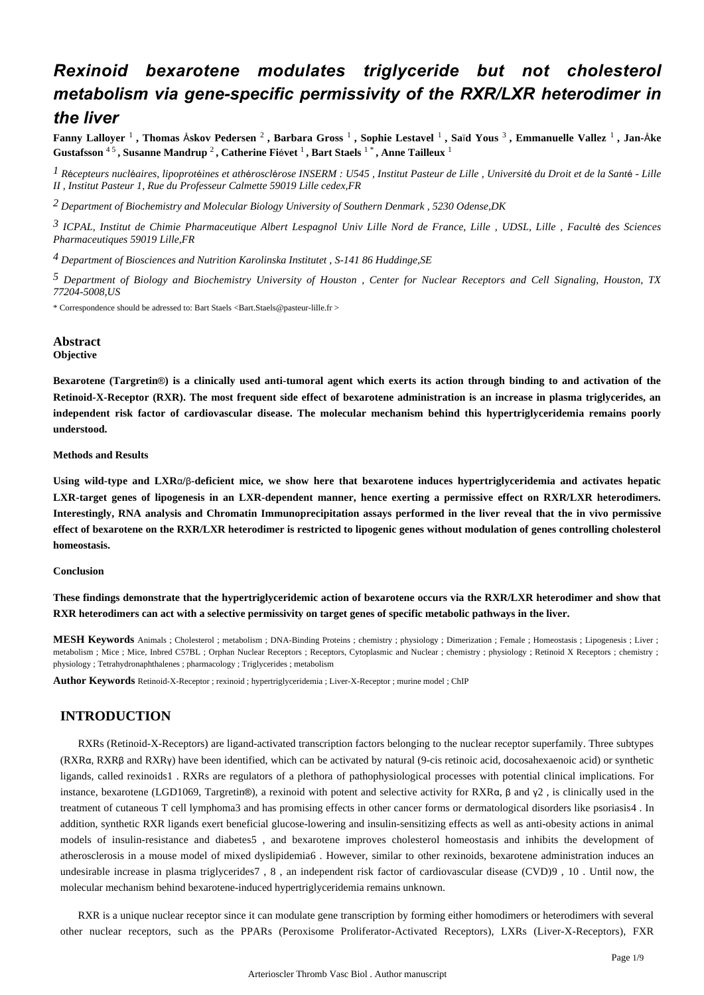# *Rexinoid bexarotene modulates triglyceride but not cholesterol metabolism via gene-specific permissivity of the RXR/LXR heterodimer in the liver*

**Fanny Lalloyer** <sup>1</sup>, Thomas Åskov Pedersen <sup>2</sup>, Barbara Gross <sup>1</sup>, Sophie Lestavel <sup>1</sup>, Saïd Yous <sup>3</sup>, Emmanuelle Vallez <sup>1</sup>, Jan-Åke **Gustafsson** 4 5 **, Susanne Mandrup** 2 **, Catherine Fi vet** é <sup>1</sup>**, Bart Staels** 1 \* **, Anne Tailleux** <sup>1</sup>

<sup>1</sup> Récepteurs nucléaires, lipoprotéines et athérosclérose INSERM : U545, Institut Pasteur de Lille, Université du Droit et de la Santé - Lille  *II , Institut Pasteur 1, Rue du Professeur Calmette 59019 Lille cedex,FR*

*Department of Biochemistry and Molecular Biology 2 University of Southern Denmark , 5230 Odense,DK*

<sup>3</sup> ICPAL, Institut de Chimie Pharmaceutique Albert Lespagnol Univ Lille Nord de France, Lille , UDSL, Lille , Faculté des Sciences *Pharmaceutiques 59019 Lille,FR*

<sup>4</sup> Department of Biosciences and Nutrition Karolinska Institutet, S-141 86 Huddinge, SE

<sup>5</sup> Department of Biology and Biochemistry University of Houston, Center for Nuclear Receptors and Cell Signaling, Houston, TX *77204-5008,US*

\* Correspondence should be adressed to: Bart Staels <Bart.Staels@pasteur-lille.fr >

# **Abstract**

# **Objective**

Bexarotene (Targretin®) is a clinically used anti-tumoral agent which exerts its action through binding to and activation of the **Retinoid-X-Receptor (RXR). The most frequent side effect of bexarotene administration is an increase in plasma triglycerides, an independent risk factor of cardiovascular disease. The molecular mechanism behind this hypertriglyceridemia remains poorly understood.**

#### **Methods and Results**

Using wild-type and LXRα/β-deficient mice, we show here that bexarotene induces hypertriglyceridemia and activates hepatic **LXR-target genes of lipogenesis in an LXR-dependent manner, hence exerting a permissive effect on RXR/LXR heterodimers. Interestingly, RNA analysis and Chromatin Immunoprecipitation assays performed in the liver reveal that the in vivo permissive effect of bexarotene on the RXR/LXR heterodimer is restricted to lipogenic genes without modulation of genes controlling cholesterol homeostasis.**

## **Conclusion**

**These findings demonstrate that the hypertriglyceridemic action of bexarotene occurs via the RXR/LXR heterodimer and show that RXR heterodimers can act with a selective permissivity on target genes of specific metabolic pathways in the liver.**

**MESH Keywords** Animals ; Cholesterol ; metabolism ; DNA-Binding Proteins ; chemistry ; physiology ; Dimerization ; Female ; Homeostasis ; Lipogenesis ; Liver ; metabolism ; Mice ; Mice, Inbred C57BL ; Orphan Nuclear Receptors ; Receptors, Cytoplasmic and Nuclear ; chemistry ; physiology ; Retinoid X Receptors ; chemistry ; physiology ; Tetrahydronaphthalenes ; pharmacology ; Triglycerides ; metabolism

**Author Keywords** Retinoid-X-Receptor ; rexinoid ; hypertriglyceridemia ; Liver-X-Receptor ; murine model ; ChIP

# **INTRODUCTION**

RXRs (Retinoid-X-Receptors) are ligand-activated transcription factors belonging to the nuclear receptor superfamily. Three subtypes (RXR $\alpha$ , RXR $\beta$  and RXR $\gamma$ ) have been identified, which can be activated by natural (9-cis retinoic acid, docosahexaenoic acid) or synthetic ligands, called rexinoids 1. RXRs are regulators of a plethora of pathophysiological processes with potential clinical implications. For instance, bexarotene (LGD1069, Targretin®), a rexinoid with potent and selective activity for RXRα, β and  $\gamma$ 2, is clinically used in the treatment of cutaneous T cell lymphoma3 and has promising effects in other cancer forms or dermatological disorders like psoriasis 4. In addition, synthetic RXR ligands exert beneficial glucose-lowering and insulin-sensitizing effects as well as anti-obesity actions in animal models of insulin-resistance and diabetes5, and bexarotene improves cholesterol homeostasis and inhibits the development of atherosclerosis in a mouse model of mixed dyslipidemia 6. However, similar to other rexinoids, bexarotene administration induces an undesirable increase in plasma triglycerides 7, 8, an independent risk factor of cardiovascular disease (CVD) 9, 10. Until now, the molecular mechanism behind bexarotene-induced hypertriglyceridemia remains unknown.

RXR is a unique nuclear receptor since it can modulate gene transcription by forming either homodimers or heterodimers with several other nuclear receptors, such as the PPARs (Peroxisome Proliferator-Activated Receptors), LXRs (Liver-X-Receptors), FXR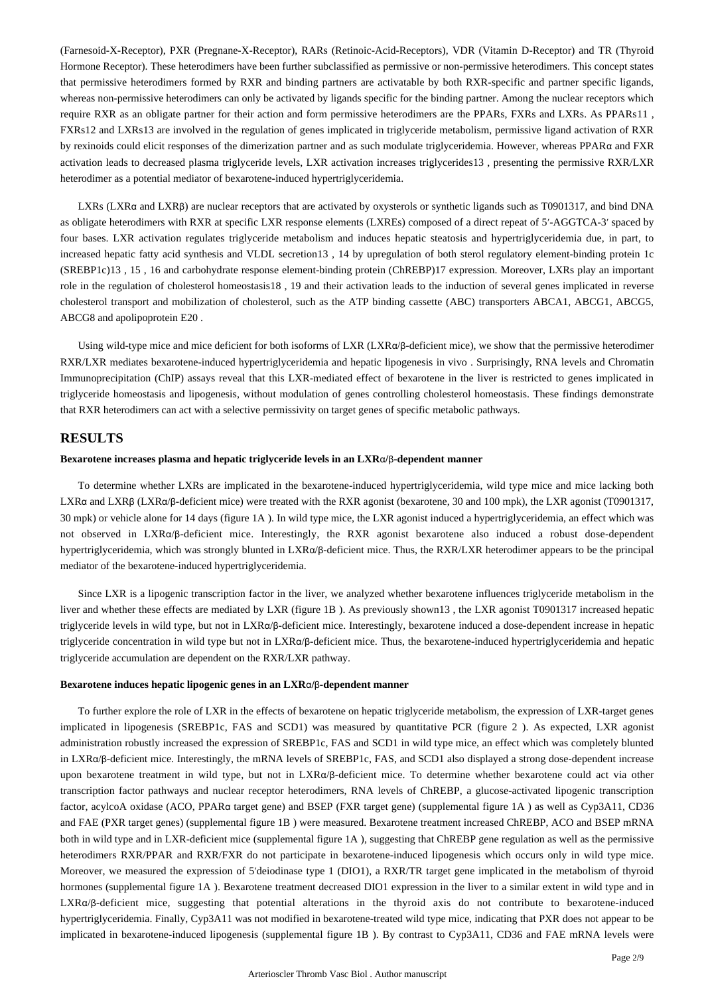(Farnesoid-X-Receptor), PXR (Pregnane-X-Receptor), RARs (Retinoic-Acid-Receptors), VDR (Vitamin D-Receptor) and TR (Thyroid Hormone Receptor). These heterodimers have been further subclassified as permissive or non-permissive heterodimers. This concept states that permissive heterodimers formed by RXR and binding partners are activatable by both RXR-specific and partner specific ligands, whereas non-permissive heterodimers can only be activated by ligands specific for the binding partner. Among the nuclear receptors which require RXR as an obligate partner for their action and form permissive heterodimers are the PPARs, FXRs and LXRs. As PPARs11, FXRs12 and LXRs13 are involved in the regulation of genes implicated in triglyceride metabolism, permissive ligand activation of RXR by rexinoids could elicit responses of the dimerization partner and as such modulate triglyceridemia. However, whereas PPAR and FXR α activation leads to decreased plasma triglyceride levels, LXR activation increases triglycerides 13, presenting the permissive RXR/LXR heterodimer as a potential mediator of bexarotene-induced hypertriglyceridemia.

LXRs (LXRα and LXRβ) are nuclear receptors that are activated by oxysterols or synthetic ligands such as T0901317, and bind DNA as obligate heterodimers with RXR at specific LXR response elements (LXREs) composed of a direct repeat of 5'-AGGTCA-3' spaced by four bases. LXR activation regulates triglyceride metabolism and induces hepatic steatosis and hypertriglyceridemia due, in part, to increased hepatic fatty acid synthesis and VLDL secretion  $13$ ,  $14$  by upregulation of both sterol regulatory element-binding protein 1c (SREBP1c)13, 15, 16 and carbohydrate response element-binding protein (ChREBP)17 expression. Moreover, LXRs play an important role in the regulation of cholesterol homeostasis 18, 19 and their activation leads to the induction of several genes implicated in reverse cholesterol transport and mobilization of cholesterol, such as the ATP binding cassette (ABC) transporters ABCA1, ABCG1, ABCG5, ABCG8 and apolipoprotein E20.

Using wild-type mice and mice deficient for both isoforms of LXR  $(LXR\alpha/\beta$ -deficient mice), we show that the permissive heterodimer RXR/LXR mediates bexarotene-induced hypertriglyceridemia and hepatic lipogenesis in vivo . Surprisingly, RNA levels and Chromatin Immunoprecipitation (ChIP) assays reveal that this LXR-mediated effect of bexarotene in the liver is restricted to genes implicated in triglyceride homeostasis and lipogenesis, without modulation of genes controlling cholesterol homeostasis. These findings demonstrate that RXR heterodimers can act with a selective permissivity on target genes of specific metabolic pathways.

# **RESULTS**

# Bexarotene increases plasma and hepatic triglyceride levels in an LXRα/β-dependent manner

To determine whether LXRs are implicated in the bexarotene-induced hypertriglyceridemia, wild type mice and mice lacking both LXRα and LXRβ (LXRα/β-deficient mice) were treated with the RXR agonist (bexarotene, 30 and 100 mpk), the LXR agonist (T0901317, 30 mpk) or vehicle alone for 14 days (figure 1A). In wild type mice, the LXR agonist induced a hypertriglyceridemia, an effect which was not observed in LXRα/β-deficient mice. Interestingly, the RXR agonist bexarotene also induced a robust dose-dependent hypertriglyceridemia, which was strongly blunted in LXRα/β-deficient mice. Thus, the RXR/LXR heterodimer appears to be the principal mediator of the bexarotene-induced hypertriglyceridemia.

Since LXR is a lipogenic transcription factor in the liver, we analyzed whether bexarotene influences triglyceride metabolism in the liver and whether these effects are mediated by LXR (figure 1B). As previously shown 13, the LXR agonist T0901317 increased hepatic triglyceride levels in wild type, but not in LXRα/β-deficient mice. Interestingly, bexarotene induced a dose-dependent increase in hepatic triglyceride concentration in wild type but not in  $LXR\alpha/\beta$ -deficient mice. Thus, the bexarotene-induced hypertriglyceridemia and hepatic triglyceride accumulation are dependent on the RXR/LXR pathway.

# **Bexarotene induces hepatic lipogenic genes in an LXRα/β-dependent manner**

To further explore the role of LXR in the effects of bexarotene on hepatic triglyceride metabolism, the expression of LXR-target genes implicated in lipogenesis (SREBP1c, FAS and SCD1) was measured by quantitative PCR (figure 2). As expected, LXR agonist administration robustly increased the expression of SREBP1c, FAS and SCD1 in wild type mice, an effect which was completely blunted in LXR $\alpha/\beta$ -deficient mice. Interestingly, the mRNA levels of SREBP1c, FAS, and SCD1 also displayed a strong dose-dependent increase upon bexarotene treatment in wild type, but not in LXRα/β-deficient mice. To determine whether bexarotene could act via other transcription factor pathways and nuclear receptor heterodimers, RNA levels of ChREBP, a glucose-activated lipogenic transcription factor, acylcoA oxidase (ACO, PPARa target gene) and BSEP (FXR target gene) (supplemental figure 1A) as well as Cyp3A11, CD36 and FAE (PXR target genes) (supplemental figure 1B) were measured. Bexarotene treatment increased ChREBP, ACO and BSEP mRNA both in wild type and in LXR-deficient mice (supplemental figure 1A), suggesting that ChREBP gene regulation as well as the permissive heterodimers RXR/PPAR and RXR/FXR do not participate in bexarotene-induced lipogenesis which occurs only in wild type mice. Moreover, we measured the expression of 5'deiodinase type 1 (DIO1), a RXR/TR target gene implicated in the metabolism of thyroid hormones (supplemental figure 1A). Bexarotene treatment decreased DIO1 expression in the liver to a similar extent in wild type and in  $LXR \alpha/\beta$ -deficient mice, suggesting that potential alterations in the thyroid axis do not contribute to bexarotene-induced hypertriglyceridemia. Finally, Cyp3A11 was not modified in bexarotene-treated wild type mice, indicating that PXR does not appear to be implicated in bexarotene-induced lipogenesis (supplemental figure 1B). By contrast to Cyp3A11, CD36 and FAE mRNA levels were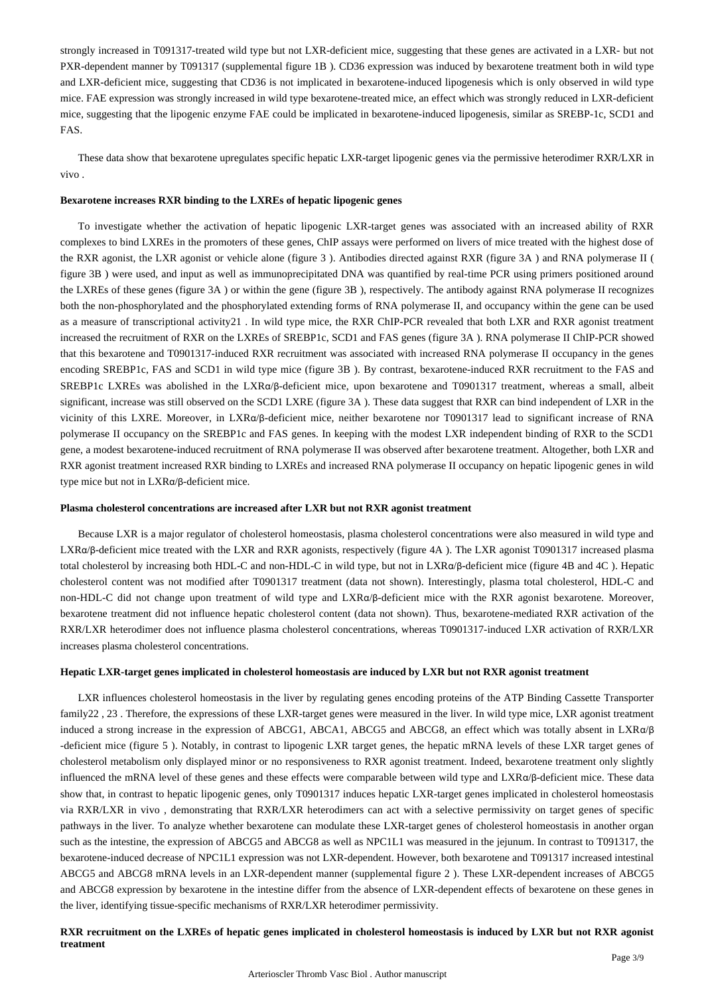strongly increased in T091317-treated wild type but not LXR-deficient mice, suggesting that these genes are activated in a LXR- but not PXR-dependent manner by T091317 (supplemental figure 1B). CD36 expression was induced by bexarotene treatment both in wild type and LXR-deficient mice, suggesting that CD36 is not implicated in bexarotene-induced lipogenesis which is only observed in wild type mice. FAE expression was strongly increased in wild type bexarotene-treated mice, an effect which was strongly reduced in LXR-deficient mice, suggesting that the lipogenic enzyme FAE could be implicated in bexarotene-induced lipogenesis, similar as SREBP-1c, SCD1 and FAS.

These data show that bexarotene upregulates specific hepatic LXR-target lipogenic genes via the permissive heterodimer RXR/LXR in vivo .

## **Bexarotene increases RXR binding to the LXREs of hepatic lipogenic genes**

To investigate whether the activation of hepatic lipogenic LXR-target genes was associated with an increased ability of RXR complexes to bind LXREs in the promoters of these genes, ChIP assays were performed on livers of mice treated with the highest dose of the RXR agonist, the LXR agonist or vehicle alone (figure 3). Antibodies directed against RXR (figure 3A) and RNA polymerase II ( $\mu$ figure 3B ) were used, and input as well as immunoprecipitated DNA was quantified by real-time PCR using primers positioned around the LXREs of these genes (figure 3A) or within the gene (figure 3B), respectively. The antibody against RNA polymerase II recognizes both the non-phosphorylated and the phosphorylated extending forms of RNA polymerase II, and occupancy within the gene can be used as a measure of transcriptional activity 21. In wild type mice, the RXR ChIP-PCR revealed that both LXR and RXR agonist treatment increased the recruitment of RXR on the LXREs of SREBP1c, SCD1 and FAS genes (figure 3A). RNA polymerase II ChIP-PCR showed that this bexarotene and T0901317-induced RXR recruitment was associated with increased RNA polymerase II occupancy in the genes encoding SREBP1c, FAS and SCD1 in wild type mice (figure 3B). By contrast, bexarotene-induced RXR recruitment to the FAS and SREBP1c LXREs was abolished in the LXRα/β-deficient mice, upon bexarotene and T0901317 treatment, whereas a small, albeit significant, increase was still observed on the SCD1 LXRE (figure 3A). These data suggest that RXR can bind independent of LXR in the vicinity of this LXRE. Moreover, in LXRα/β-deficient mice, neither bexarotene nor T0901317 lead to significant increase of RNA polymerase II occupancy on the SREBP1c and FAS genes. In keeping with the modest LXR independent binding of RXR to the SCD1 gene, a modest bexarotene-induced recruitment of RNA polymerase II was observed after bexarotene treatment. Altogether, both LXR and RXR agonist treatment increased RXR binding to LXREs and increased RNA polymerase II occupancy on hepatic lipogenic genes in wild type mice but not in  $LXR\alpha/\beta$ -deficient mice.

#### **Plasma cholesterol concentrations are increased after LXR but not RXR agonist treatment**

Because LXR is a major regulator of cholesterol homeostasis, plasma cholesterol concentrations were also measured in wild type and LXRα/β-deficient mice treated with the LXR and RXR agonists, respectively (figure 4A). The LXR agonist T0901317 increased plasma total cholesterol by increasing both HDL-C and non-HDL-C in wild type, but not in LXRα/β-deficient mice (figure 4B and 4C). Hepatic cholesterol content was not modified after T0901317 treatment (data not shown). Interestingly, plasma total cholesterol, HDL-C and non-HDL-C did not change upon treatment of wild type and LXRα/β-deficient mice with the RXR agonist bexarotene. Moreover, bexarotene treatment did not influence hepatic cholesterol content (data not shown). Thus, bexarotene-mediated RXR activation of the RXR/LXR heterodimer does not influence plasma cholesterol concentrations, whereas T0901317-induced LXR activation of RXR/LXR increases plasma cholesterol concentrations.

#### **Hepatic LXR-target genes implicated in cholesterol homeostasis are induced by LXR but not RXR agonist treatment**

LXR influences cholesterol homeostasis in the liver by regulating genes encoding proteins of the ATP Binding Cassette Transporter family 22, 23. Therefore, the expressions of these LXR-target genes were measured in the liver. In wild type mice, LXR agonist treatment induced a strong increase in the expression of ABCG1, ABCA1, ABCG5 and ABCG8, an effect which was totally absent in LXR $\alpha/\beta$ -deficient mice (figure 5). Notably, in contrast to lipogenic LXR target genes, the hepatic mRNA levels of these LXR target genes of cholesterol metabolism only displayed minor or no responsiveness to RXR agonist treatment. Indeed, bexarotene treatment only slightly influenced the mRNA level of these genes and these effects were comparable between wild type and  $LXR\alpha/\beta$ -deficient mice. These data show that, in contrast to hepatic lipogenic genes, only T0901317 induces hepatic LXR-target genes implicated in cholesterol homeostasis via RXR/LXR in vivo, demonstrating that RXR/LXR heterodimers can act with a selective permissivity on target genes of specific pathways in the liver. To analyze whether bexarotene can modulate these LXR-target genes of cholesterol homeostasis in another organ such as the intestine, the expression of ABCG5 and ABCG8 as well as NPC1L1 was measured in the jejunum. In contrast to T091317, the bexarotene-induced decrease of NPC1L1 expression was not LXR-dependent. However, both bexarotene and T091317 increased intestinal ABCG5 and ABCG8 mRNA levels in an LXR-dependent manner (supplemental figure 2). These LXR-dependent increases of ABCG5 and ABCG8 expression by bexarotene in the intestine differ from the absence of LXR-dependent effects of bexarotene on these genes in the liver, identifying tissue-specific mechanisms of RXR/LXR heterodimer permissivity.

#### **RXR recruitment on the LXREs of hepatic genes implicated in cholesterol homeostasis is induced by LXR but not RXR agonist treatment**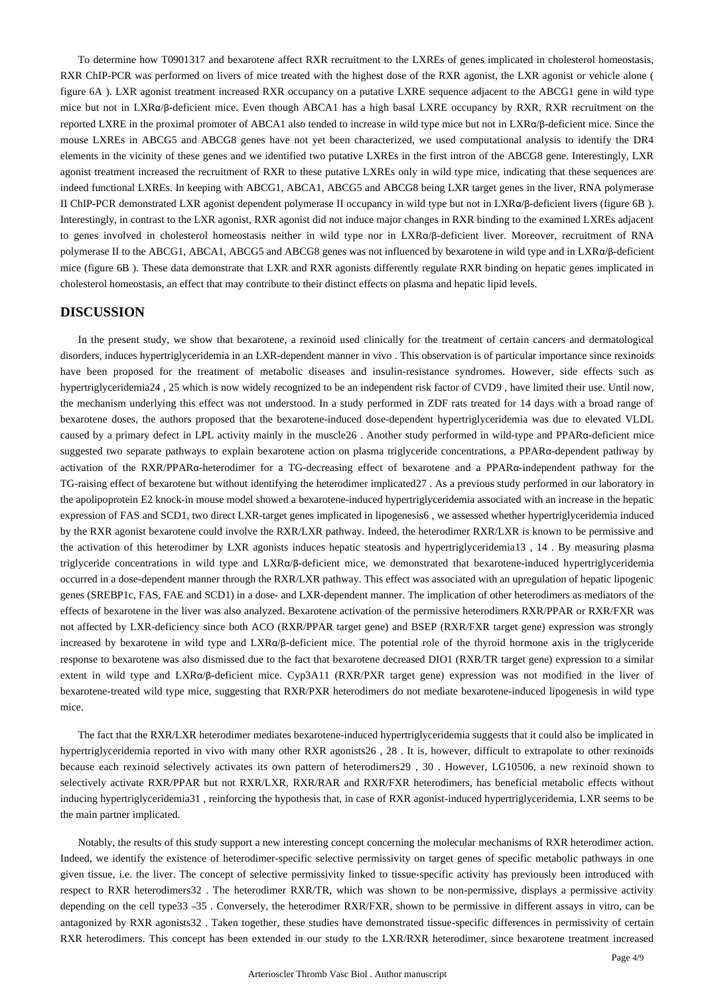To determine how T0901317 and bexarotene affect RXR recruitment to the LXREs of genes implicated in cholesterol homeostasis, RXR ChIP-PCR was performed on livers of mice treated with the highest dose of the RXR agonist, the LXR agonist or vehicle alone ( figure 6A ). LXR agonist treatment increased RXR occupancy on a putative LXRE sequence adjacent to the ABCG1 gene in wild type mice but not in LXRα/β-deficient mice. Even though ABCA1 has a high basal LXRE occupancy by RXR, RXR recruitment on the reported LXRE in the proximal promoter of ABCA1 also tended to increase in wild type mice but not in LXRα/β-deficient mice. Since the mouse LXREs in ABCG5 and ABCG8 genes have not yet been characterized, we used computational analysis to identify the DR4 elements in the vicinity of these genes and we identified two putative LXREs in the first intron of the ABCG8 gene. Interestingly, LXR agonist treatment increased the recruitment of RXR to these putative LXREs only in wild type mice, indicating that these sequences are indeed functional LXREs. In keeping with ABCG1, ABCA1, ABCG5 and ABCG8 being LXR target genes in the liver, RNA polymerase II ChIP-PCR demonstrated LXR agonist dependent polymerase II occupancy in wild type but not in LXRα/β-deficient livers (figure 6B). Interestingly, in contrast to the LXR agonist, RXR agonist did not induce major changes in RXR binding to the examined LXREs adjacent to genes involved in cholesterol homeostasis neither in wild type nor in LXRα/β-deficient liver. Moreover, recruitment of RNA polymerase II to the ABCG1, ABCA1, ABCG5 and ABCG8 genes was not influenced by bexarotene in wild type and in LXRα/β-deficient mice (figure 6B). These data demonstrate that LXR and RXR agonists differently regulate RXR binding on hepatic genes implicated in cholesterol homeostasis, an effect that may contribute to their distinct effects on plasma and hepatic lipid levels.

# **DISCUSSION**

In the present study, we show that bexarotene, a rexinoid used clinically for the treatment of certain cancers and dermatological disorders, induces hypertriglyceridemia in an LXR-dependent manner in vivo. This observation is of particular importance since rexinoids have been proposed for the treatment of metabolic diseases and insulin-resistance syndromes. However, side effects such as hypertriglyceridemia 24, 25 which is now widely recognized to be an independent risk factor of CVD9, have limited their use. Until now, the mechanism underlying this effect was not understood. In a study performed in ZDF rats treated for 14 days with a broad range of bexarotene doses, the authors proposed that the bexarotene-induced dose-dependent hypertriglyceridemia was due to elevated VLDL caused by a primary defect in LPL activity mainly in the muscle 26. Another study performed in wild-type and PPARα-deficient mice suggested two separate pathways to explain bexarotene action on plasma triglyceride concentrations, a PPARα-dependent pathway by activation of the RXR/PPARα-heterodimer for a TG-decreasing effect of bexarotene and a PPARα-independent pathway for the TG-raising effect of bexarotene but without identifying the heterodimer implicated 27. As a previous study performed in our laboratory in the apolipoprotein E2 knock-in mouse model showed a bexarotene-induced hypertriglyceridemia associated with an increase in the hepatic expression of FAS and SCD1, two direct LXR-target genes implicated in lipogenesis6, we assessed whether hypertriglyceridemia induced by the RXR agonist bexarotene could involve the RXR/LXR pathway. Indeed, the heterodimer RXR/LXR is known to be permissive and the activation of this heterodimer by LXR agonists induces hepatic steatosis and hypertriglyceridemia13, 14. By measuring plasma triglyceride concentrations in wild type and  $LXR\alpha/\beta$ -deficient mice, we demonstrated that bexarotene-induced hypertriglyceridemia occurred in a dose-dependent manner through the RXR/LXR pathway. This effect was associated with an upregulation of hepatic lipogenic genes (SREBP1c, FAS, FAE and SCD1) in a dose- and LXR-dependent manner. The implication of other heterodimers as mediators of the effects of bexarotene in the liver was also analyzed. Bexarotene activation of the permissive heterodimers RXR/PPAR or RXR/FXR was not affected by LXR-deficiency since both ACO (RXR/PPAR target gene) and BSEP (RXR/FXR target gene) expression was strongly increased by bexarotene in wild type and  $LXR\alpha/\beta$ -deficient mice. The potential role of the thyroid hormone axis in the triglyceride response to bexarotene was also dismissed due to the fact that bexarotene decreased DIO1 (RXR/TR target gene) expression to a similar extent in wild type and LXRα/β-deficient mice. Cyp3A11 (RXR/PXR target gene) expression was not modified in the liver of bexarotene-treated wild type mice, suggesting that RXR/PXR heterodimers do not mediate bexarotene-induced lipogenesis in wild type mice.

The fact that the RXR/LXR heterodimer mediates bexarotene-induced hypertriglyceridemia suggests that it could also be implicated in hypertriglyceridemia reported in vivo with many other RXR agonists 26, 28. It is, however, difficult to extrapolate to other rexinoids because each rexinoid selectively activates its own pattern of heterodimers 29, 30. However, LG10506, a new rexinoid shown to selectively activate RXR/PPAR but not RXR/LXR, RXR/RAR and RXR/FXR heterodimers, has beneficial metabolic effects without inducing hypertriglyceridemia 31, reinforcing the hypothesis that, in case of RXR agonist-induced hypertriglyceridemia, LXR seems to be the main partner implicated.

Notably, the results of this study support a new interesting concept concerning the molecular mechanisms of RXR heterodimer action. Indeed, we identify the existence of heterodimer-specific selective permissivity on target genes of specific metabolic pathways in one given tissue, i.e. the liver. The concept of selective permissivity linked to tissue-specific activity has previously been introduced with respect to RXR heterodimers 32. The heterodimer RXR/TR, which was shown to be non-permissive, displays a permissive activity depending on the cell type 33 – 35. Conversely, the heterodimer RXR/FXR, shown to be permissive in different assays in vitro, can be antagonized by RXR agonists 32 . Taken together, these studies have demonstrated tissue-specific differences in permissivity of certain RXR heterodimers. This concept has been extended in our study to the LXR/RXR heterodimer, since bexarotene treatment increased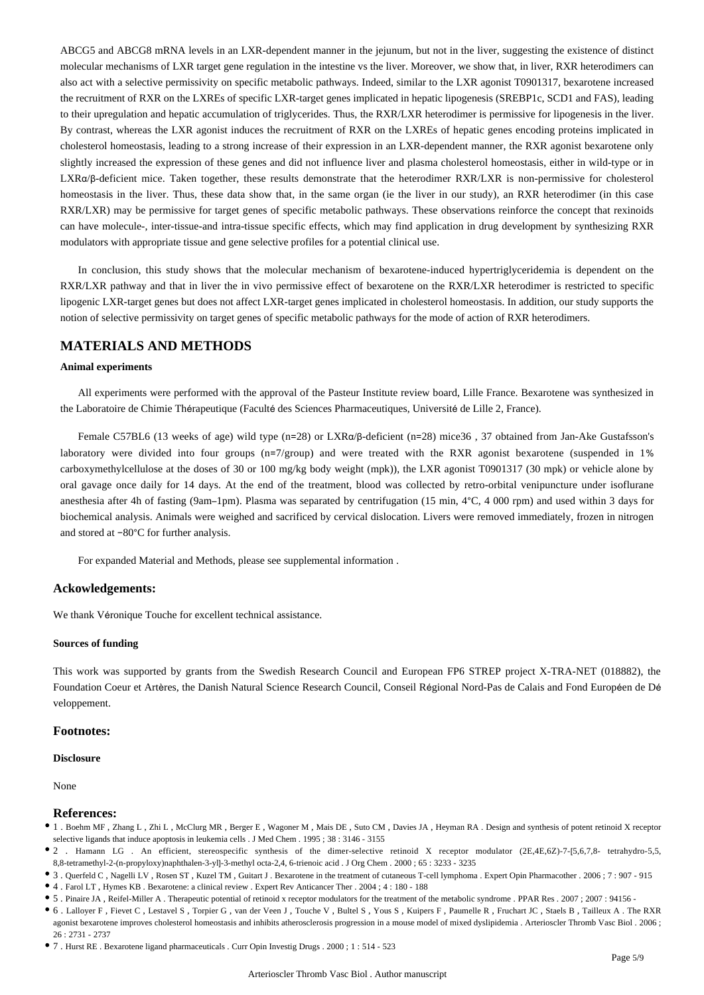ABCG5 and ABCG8 mRNA levels in an LXR-dependent manner in the jejunum, but not in the liver, suggesting the existence of distinct molecular mechanisms of LXR target gene regulation in the intestine vs the liver. Moreover, we show that, in liver, RXR heterodimers can also act with a selective permissivity on specific metabolic pathways. Indeed, similar to the LXR agonist T0901317, bexarotene increased the recruitment of RXR on the LXREs of specific LXR-target genes implicated in hepatic lipogenesis (SREBP1c, SCD1 and FAS), leading to their upregulation and hepatic accumulation of triglycerides. Thus, the RXR/LXR heterodimer is permissive for lipogenesis in the liver. By contrast, whereas the LXR agonist induces the recruitment of RXR on the LXREs of hepatic genes encoding proteins implicated in cholesterol homeostasis, leading to a strong increase of their expression in an LXR-dependent manner, the RXR agonist bexarotene only slightly increased the expression of these genes and did not influence liver and plasma cholesterol homeostasis, either in wild-type or in  $LXR \alpha/β$ -deficient mice. Taken together, these results demonstrate that the heterodimer  $RXR/LXR$  is non-permissive for cholesterol homeostasis in the liver. Thus, these data show that, in the same organ (ie the liver in our study), an RXR heterodimer (in this case RXR/LXR) may be permissive for target genes of specific metabolic pathways. These observations reinforce the concept that rexinoids can have molecule-, inter-tissue-and intra-tissue specific effects, which may find application in drug development by synthesizing RXR modulators with appropriate tissue and gene selective profiles for a potential clinical use.

In conclusion, this study shows that the molecular mechanism of bexarotene-induced hypertriglyceridemia is dependent on the RXR/LXR pathway and that in liver the in vivo permissive effect of bexarotene on the RXR/LXR heterodimer is restricted to specific lipogenic LXR-target genes but does not affect LXR-target genes implicated in cholesterol homeostasis. In addition, our study supports the notion of selective permissivity on target genes of specific metabolic pathways for the mode of action of RXR heterodimers.

# **MATERIALS AND METHODS**

#### **Animal experiments**

All experiments were performed with the approval of the Pasteur Institute review board, Lille France. Bexarotene was synthesized in the Laboratoire de Chimie Thérapeutique (Faculté des Sciences Pharmaceutiques, Université de Lille 2, France).

Female C57BL6 (13 weeks of age) wild type (n=28) or LXRα/β-deficient (n=28) mice 36, 37 obtained from Jan-Ake Gustafsson's laboratory were divided into four groups  $(n=7/$ group) and were treated with the RXR agonist bexarotene (suspended in 1%) carboxymethylcellulose at the doses of 30 or 100 mg/kg body weight (mpk)), the LXR agonist T0901317 (30 mpk) or vehicle alone by oral gavage once daily for 14 days. At the end of the treatment, blood was collected by retro-orbital venipuncture under isoflurane anesthesia after 4h of fasting (9am-1pm). Plasma was separated by centrifugation (15 min,  $4^{\circ}$ C, 4 000 rpm) and used within 3 days for biochemical analysis. Animals were weighed and sacrificed by cervical dislocation. Livers were removed immediately, frozen in nitrogen and stored at -80 °C for further analysis.

For expanded Material and Methods, please see supplemental information.

# **Ackowledgements:**

We thank Véronique Touche for excellent technical assistance.

# **Sources of funding**

This work was supported by grants from the Swedish Research Council and European FP6 STREP project X-TRA-NET (018882), the Foundation Coeur et Artères, the Danish Natural Science Research Council, Conseil Régional Nord-Pas de Calais and Fond Européen de Dé veloppement.

# **Footnotes:**

#### **Disclosure**

None

#### **References:**

- 1 . Boehm MF , Zhang L , Zhi L , McClurg MR , Berger E , Wagoner M , Mais DE , Suto CM , Davies JA , Heyman RA . Design and synthesis of potent retinoid X receptor selective ligands that induce apoptosis in leukemia cells . J Med Chem . 1995 ; 38 : 3146 - 3155
- 2 . Hamann LG . An efficient, stereospecific synthesis of the dimer-selective retinoid X receptor modulator (2E,4E,6Z)-7-[5,6,7,8- tetrahydro-5,5, 8,8-tetramethyl-2-(n-propyloxy)naphthalen-3-yl]-3-methyl octa-2,4, 6-trienoic acid . J Org Chem . 2000 ; 65 : 3233 - 3235
- 3 . Querfeld C , Nagelli LV , Rosen ST , Kuzel TM , Guitart J . Bexarotene in the treatment of cutaneous T-cell lymphoma . Expert Opin Pharmacother . 2006 ; 7 : 907 915
- 4 . Farol LT , Hymes KB . Bexarotene: a clinical review . Expert Rev Anticancer Ther . 2004 ; 4 : 180 188
- 5 . Pinaire JA , Reifel-Miller A . Therapeutic potential of retinoid x receptor modulators for the treatment of the metabolic syndrome . PPAR Res . 2007 ; 2007 : 94156 -
- 6 . Lalloyer F , Fievet C , Lestavel S , Torpier G , van der Veen J , Touche V , Bultel S , Yous S , Kuipers F , Paumelle R , Fruchart JC , Staels B , Tailleux A . The RXR agonist bexarotene improves cholesterol homeostasis and inhibits atherosclerosis progression in a mouse model of mixed dyslipidemia . Arterioscler Thromb Vasc Biol . 2006 ; 26 : 2731 - 2737
- 7 . Hurst RE . Bexarotene ligand pharmaceuticals . Curr Opin Investig Drugs . 2000 ; 1 : 514 523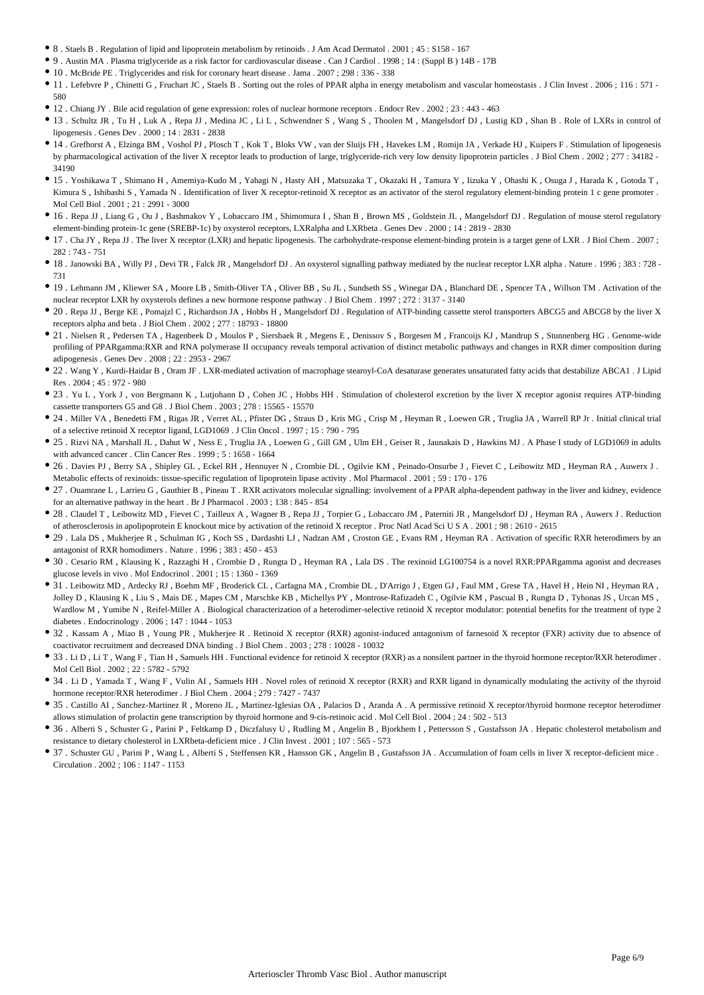- 8 . Staels B . Regulation of lipid and lipoprotein metabolism by retinoids . J Am Acad Dermatol . 2001 ; 45 : S158 167
- 9 . Austin MA . Plasma triglyceride as a risk factor for cardiovascular disease . Can J Cardiol . 1998 ; 14 : (Suppl B ) 14B 17B
- 10 . McBride PE . Triglycerides and risk for coronary heart disease . Jama . 2007 ; 298 : 336 338
- 11 . Lefebvre P, Chinetti G, Fruchart JC, Staels B. Sorting out the roles of PPAR alpha in energy metabolism and vascular homeostasis . J Clin Invest . 2006; 116: 571 -580
- 12 . Chiang JY . Bile acid regulation of gene expression: roles of nuclear hormone receptors . Endocr Rev . 2002 ; 23 : 443 463
- 13 . Schultz JR , Tu H , Luk A , Repa JJ , Medina JC , Li L , Schwendner S , Wang S , Thoolen M , Mangelsdorf DJ , Lustig KD , Shan B . Role of LXRs in control of lipogenesis . Genes Dev . 2000 ; 14 : 2831 - 2838
- 14 . Grefhorst A , Elzinga BM , Voshol PJ , Plosch T , Kok T , Bloks VW , van der Sluijs FH , Havekes LM , Romijn JA , Verkade HJ , Kuipers F . Stimulation of lipogenesis by pharmacological activation of the liver X receptor leads to production of large, triglyceride-rich very low density lipoprotein particles . J Biol Chem . 2002 ; 277 : 34182 - 34190
- 15 . Yoshikawa T , Shimano H , Amemiya-Kudo M , Yahagi N , Hasty AH , Matsuzaka T , Okazaki H , Tamura Y , Iizuka Y , Ohashi K , Osuga J , Harada K , Gotoda T , Kimura S, Ishibashi S, Yamada N. Identification of liver X receptor-retinoid X receptor as an activator of the sterol regulatory element-binding protein 1 c gene promoter. Mol Cell Biol . 2001 ; 21 : 2991 - 3000
- 16 . Repa JJ , Liang G , Ou J , Bashmakov Y , Lobaccaro JM , Shimomura I , Shan B , Brown MS , Goldstein JL , Mangelsdorf DJ . Regulation of mouse sterol regulatory element-binding protein-1c gene (SREBP-1c) by oxysterol receptors, LXRalpha and LXRbeta . Genes Dev . 2000 ; 14 : 2819 - 2830
- 17 . Cha JY , Repa JJ . The liver X receptor (LXR) and hepatic lipogenesis. The carbohydrate-response element-binding protein is a target gene of LXR . J Biol Chem . 2007 ; 282 : 743 - 751
- 18 . Janowski BA , Willy PJ , Devi TR , Falck JR , Mangelsdorf DJ . An oxysterol signalling pathway mediated by the nuclear receptor LXR alpha . Nature . 1996 ; 383 : 728 731
- 19 . Lehmann JM , Kliewer SA , Moore LB , Smith-Oliver TA , Oliver BB , Su JL , Sundseth SS , Winegar DA , Blanchard DE , Spencer TA , Willson TM . Activation of the nuclear receptor LXR by oxysterols defines a new hormone response pathway . J Biol Chem . 1997 ; 272 : 3137 - 3140
- 20 . Repa JJ , Berge KE , Pomajzl C , Richardson JA , Hobbs H , Mangelsdorf DJ . Regulation of ATP-binding cassette sterol transporters ABCG5 and ABCG8 by the liver X receptors alpha and beta . J Biol Chem . 2002 ; 277 : 18793 - 18800
- 21 . Nielsen R , Pedersen TA , Hagenbeek D , Moulos P , Siersbaek R , Megens E , Denissov S , Borgesen M , Francoijs KJ , Mandrup S , Stunnenberg HG . Genome-wide profiling of PPARgamma:RXR and RNA polymerase II occupancy reveals temporal activation of distinct metabolic pathways and changes in RXR dimer composition during adipogenesis . Genes Dev . 2008 ; 22 : 2953 - 2967
- 22 . Wang Y , Kurdi-Haidar B , Oram JF . LXR-mediated activation of macrophage stearoyl-CoA desaturase generates unsaturated fatty acids that destabilize ABCA1 . J Lipid Res . 2004 ; 45 : 972 - 980
- 23 . Yu L , York J , von Bergmann K , Lutjohann D , Cohen JC , Hobbs HH . Stimulation of cholesterol excretion by the liver X receptor agonist requires ATP-binding cassette transporters G5 and G8 . J Biol Chem . 2003 ; 278 : 15565 - 15570
- 24 . Miller VA , Benedetti FM , Rigas JR , Verret AL , Pfister DG , Straus D , Kris MG , Crisp M , Heyman R , Loewen GR , Truglia JA , Warrell RP Jr . Initial clinical trial of a selective retinoid X receptor ligand, LGD1069 . J Clin Oncol . 1997 ; 15 : 790 - 795
- 25 . Rizvi NA , Marshall JL , Dahut W , Ness E , Truglia JA , Loewen G , Gill GM , Ulm EH , Geiser R , Jaunakais D , Hawkins MJ . A Phase I study of LGD1069 in adults with advanced cancer . Clin Cancer Res . 1999 ; 5 : 1658 - 1664
- 26 . Davies PJ , Berry SA , Shipley GL , Eckel RH , Hennuyer N , Crombie DL , Ogilvie KM , Peinado-Onsurbe J , Fievet C , Leibowitz MD , Heyman RA , Auwerx J . Metabolic effects of rexinoids: tissue-specific regulation of lipoprotein lipase activity . Mol Pharmacol . 2001 ; 59 : 170 - 176
- 27 . Ouamrane L , Larrieu G , Gauthier B , Pineau T . RXR activators molecular signalling: involvement of a PPAR alpha-dependent pathway in the liver and kidney, evidence for an alternative pathway in the heart . Br J Pharmacol . 2003 ; 138 : 845 - 854
- 28 . Claudel T , Leibowitz MD , Fievet C , Tailleux A , Wagner B , Repa JJ , Torpier G , Lobaccaro JM , Paterniti JR , Mangelsdorf DJ , Heyman RA , Auwerx J . Reduction of atherosclerosis in apolipoprotein E knockout mice by activation of the retinoid X receptor . Proc Natl Acad Sci U S A . 2001 ; 98 : 2610 - 2615
- 29 . Lala DS , Mukherjee R , Schulman IG , Koch SS , Dardashti LJ , Nadzan AM , Croston GE , Evans RM , Heyman RA . Activation of specific RXR heterodimers by an antagonist of RXR homodimers . Nature . 1996 ; 383 : 450 - 453
- 30 . Cesario RM , Klausing K , Razzaghi H , Crombie D , Rungta D , Heyman RA , Lala DS . The rexinoid LG100754 is a novel RXR:PPARgamma agonist and decreases glucose levels in vivo . Mol Endocrinol . 2001 ; 15 : 1360 - 1369
- $\bullet$  31 . Leibowitz MD, Ardecky RJ, Boehm MF, Broderick CL, Carfagna MA, Crombie DL, D'Arrigo J, Etgen GJ, Faul MM, Grese TA, Havel H, Hein NI, Heyman RA, Jolley D , Klausing K , Liu S , Mais DE , Mapes CM , Marschke KB , Michellys PY , Montrose-Rafizadeh C , Ogilvie KM , Pascual B , Rungta D , Tyhonas JS , Urcan MS , Wardlow M , Yumibe N , Reifel-Miller A . Biological characterization of a heterodimer-selective retinoid X receptor modulator: potential benefits for the treatment of type 2 diabetes . Endocrinology . 2006 ; 147 : 1044 - 1053
- 32 . Kassam A , Miao B , Young PR , Mukherjee R . Retinoid X receptor (RXR) agonist-induced antagonism of farnesoid X receptor (FXR) activity due to absence of coactivator recruitment and decreased DNA binding . J Biol Chem . 2003 ; 278 : 10028 - 10032
- 33 . Li D , Li T , Wang F , Tian H , Samuels HH . Functional evidence for retinoid X receptor (RXR) as a nonsilent partner in the thyroid hormone receptor/RXR heterodimer . Mol Cell Biol . 2002 ; 22 : 5782 - 5792
- 34 . Li D , Yamada T , Wang F , Vulin AI , Samuels HH . Novel roles of retinoid X receptor (RXR) and RXR ligand in dynamically modulating the activity of the thyroid hormone receptor/RXR heterodimer . J Biol Chem . 2004 ; 279 : 7427 - 7437
- 35 . Castillo AI , Sanchez-Martinez R , Moreno JL , Martinez-Iglesias OA , Palacios D , Aranda A . A permissive retinoid X receptor/thyroid hormone receptor heterodimer allows stimulation of prolactin gene transcription by thyroid hormone and 9-cis-retinoic acid . Mol Cell Biol . 2004 ; 24 : 502 - 513
- 36 . Alberti S , Schuster G , Parini P , Feltkamp D , Diczfalusy U , Rudling M , Angelin B , Bjorkhem I , Pettersson S , Gustafsson JA . Hepatic cholesterol metabolism and resistance to dietary cholesterol in LXRbeta-deficient mice . J Clin Invest . 2001 ; 107 : 565 - 573
- 37 . Schuster GU , Parini P , Wang L , Alberti S , Steffensen KR , Hansson GK , Angelin B , Gustafsson JA . Accumulation of foam cells in liver X receptor-deficient mice . Circulation . 2002 ; 106 : 1147 - 1153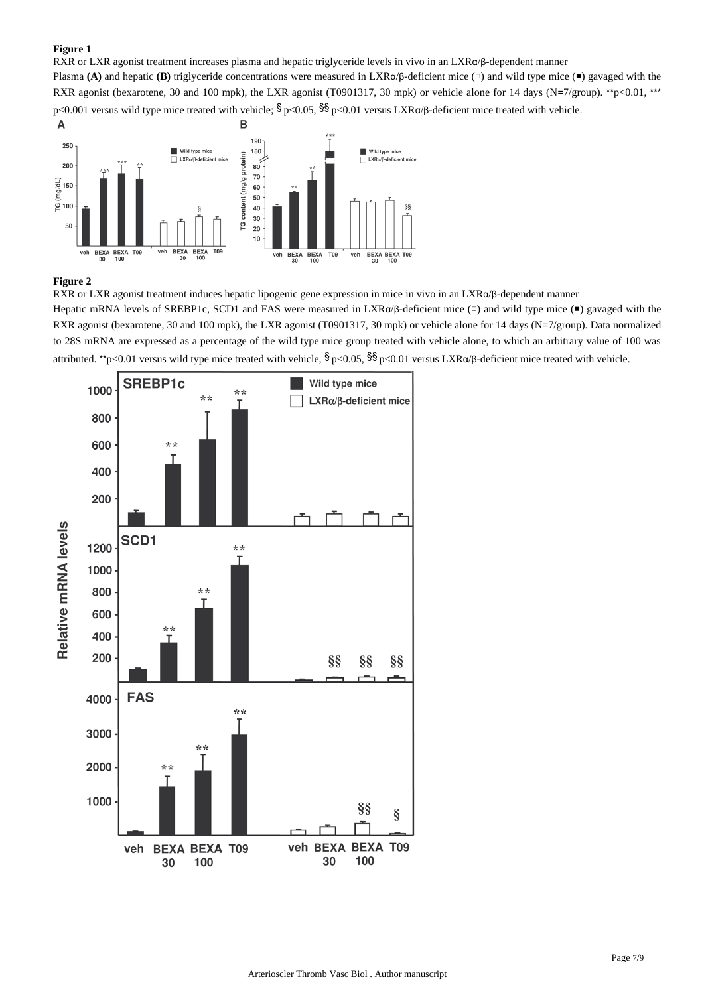# **Figure 1**

RXR or LXR agonist treatment increases plasma and hepatic triglyceride levels in vivo in an LXRα/β-dependent manner

Plasma (A) and hepatic (B) triglyceride concentrations were measured in LXR $\alpha$ / $\beta$ -deficient mice ( $\alpha$ ) and wild type mice ( $\blacksquare$ ) gavaged with the RXR agonist (bexarotene, 30 and 100 mpk), the LXR agonist (T0901317, 30 mpk) or vehicle alone for 14 days (N=7/group). \*\* p<0.01, \*\*\* p<0.001 versus wild type mice treated with vehicle;  $\frac{1}{2}p<0.05$ ,  $\frac{1}{2}p<0.01$  versus LXR $\alpha/\beta$ -deficient mice treated with vehicle.



# **Figure 2**

RXR or LXR agonist treatment induces hepatic lipogenic gene expression in mice in vivo in an LXRα/β-dependent manner Hepatic mRNA levels of SREBP1c, SCD1 and FAS were measured in LXRα/β-deficient mice  $(□$ ) and wild type mice  $(□$ ) gavaged with the RXR agonist (bexarotene, 30 and 100 mpk), the LXR agonist (T0901317, 30 mpk) or vehicle alone for 14 days (N=7/group). Data normalized to 28S mRNA are expressed as a percentage of the wild type mice group treated with vehicle alone, to which an arbitrary value of 100 was



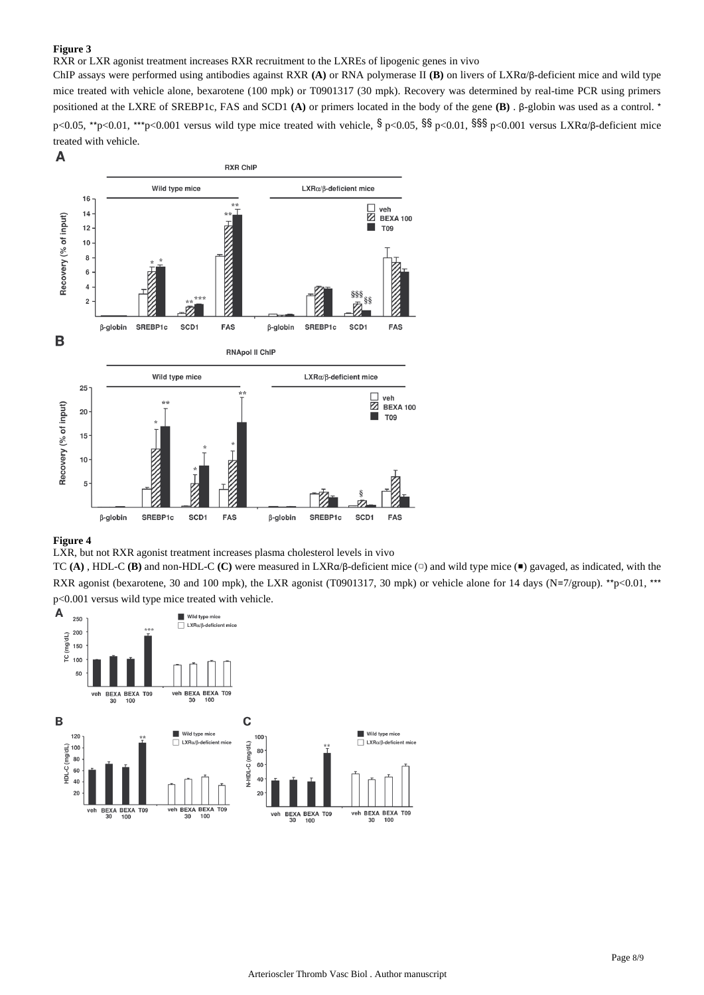# **Figure 3**

# RXR or LXR agonist treatment increases RXR recruitment to the LXREs of lipogenic genes in vivo

ChIP assays were performed using antibodies against RXR (A) or RNA polymerase II (B) on livers of LXRα/β-deficient mice and wild type mice treated with vehicle alone, bexarotene (100 mpk) or T0901317 (30 mpk). Recovery was determined by real-time PCR using primers positioned at the LXRE of SREBP1c, FAS and SCD1 (A) or primers located in the body of the gene (B) . β-globin was used as a control. \* p<0.05, \*\*p<0.01, \*\*\*p<0.001 versus wild type mice treated with vehicle,  $\frac{1}{2}$  p<0.05,  $\frac{1}{2}$  p<0.01,  $\frac{1}{2}$  p<0.001 versus LXR $\alpha/\beta$ -deficient mice treated with vehicle.



# **Figure 4**

LXR, but not RXR agonist treatment increases plasma cholesterol levels in vivo

TC (A), HDL-C (B) and non-HDL-C (C) were measured in LXRα/β-deficient mice (□) and wild type mice (■) gavaged, as indicated, with the RXR agonist (bexarotene, 30 and 100 mpk), the LXR agonist (T0901317, 30 mpk) or vehicle alone for 14 days (N=7/group). \*\* p<0.01, \*\*\* p<0.001 versus wild type mice treated with vehicle.